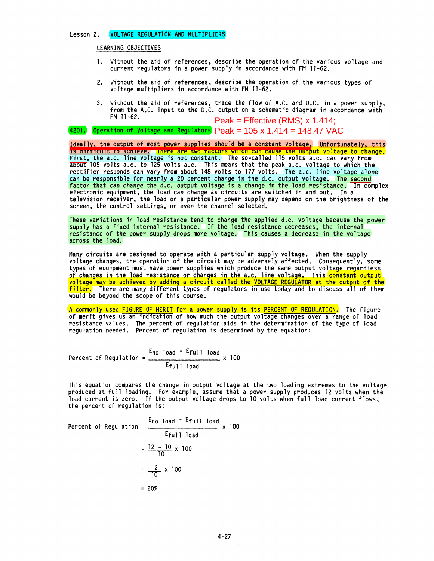## Lesson 2. VOLTAGE REGULATION AND MULTIPLIERS

LEARNING OBJECTIVES

- 1. Without the aid of references, describe the operation of the various voltage and current regulators in a power supply in accordance with FM 11-62.
- 2. Without the aid of references, describe the operation of the various types of voltage multipliers in accordance with FM 11-62.
- 3. Without the aid of references, trace the flow of A.C. and D.C. in a power supply, from the A.C. input to the D.C. output on a schematic diagram in accordance with FM 11-62. Peak = Effective (RMS) x 1.414;

4201. Operation of Voltage and Regulators Peak = 105 x 1.414 = 148.47 VAC

Ideally, the output of most power supplies should be a constant voltage. Unfortunately, this<br>Is difficult to achieve. There are two factors which can cause the output voltage to change. First, the a.c. line voltage is not constant. The so-called 115 volts a.c. can vary from about 105 volts a.c. to 125 volts a.c. This means that the peak a.c. voltage to which the rectifier responds can vary from about 148 volts to 177 volts. The a.c. line voltage alone can be responsible for nearly a 20 percent change in the d.c. output voltage. The second factor that can change the d.c. output voltage is a change in the load resistance. In complex factor that can change the d.c. output voltage is a change in the load resistance. In complex<br>electronic equipment, the load can change as circuits are switched in and out. In a television receiver, the load on a particular power supply may depend on the brightness of the screen, the control settings, or even the channel selected.

These variations in load resistance tend to change the applied d.c. voltage because the power supply has a fixed internal resistance. If the load resistance decreases, the internal resistance of the power supply drops more voltage. This causes a decrease in the voltage across the load.

Many circuits are designed to operate with a particular supply voltage. When the supply voltage changes, the operation of the circuit may be adversely affected. Consequently, some types of equipment must have power supplies which produce the same output voltage regardless of changes in the load resistance or changes in the a.c. line voltage. This constant output voltage may be achieved by adding a circuit called the VOLTAGE REGULATOR at the output of the filter. There are many different types of regulators in use today and to discuss all of them would be beyond the scope of this course.

A commonly used FIGURE OF MERIT for a power supply is its PERCENT OF REGULATION. The figure<br>of merit gives us an indication of how much the output voltage changes over a range of load resistance values. The percent of regulation aids in the determination of the type of load regulation needed. Percent of regulation is determined by the equation:

Percent of Regulation = 
$$
\frac{E_{no load} - E_{full load}}{E_{full load}} \times 100
$$

This equation compares the change in output voltage at the two loading extremes to the voltage<br>produced at full loading. For example, assume that a power supply produces 12 volts when the load current is zero. If the output voltage drops to 10 volts when full load current flows, the percent of regulation is:

Percent of Regulation = 
$$
\frac{E_{\text{no load}} - E_{\text{full load}}}{E_{\text{full load}}}
$$
 x 100  
= 
$$
\frac{12 - 10}{10} \times 100
$$
  
= 
$$
\frac{2}{10} \times 100
$$
  
= 20%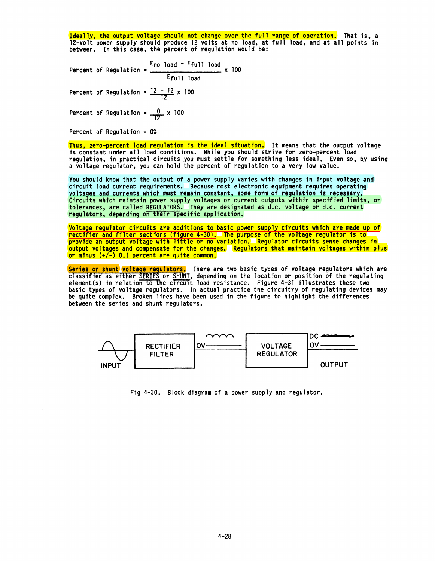Ideally, the output voltage should not change over the full range of operation. That is, a l2-vo1t power supply should produce 12 volts at no load, at full load, and at all points in between. In this case, the percent of regulation would be:

Percent of Regulation =  $\frac{E_{\text{no load}} - E_{\text{full load}}}{\sqrt{100}} \times 100$ Eful1 load Percent of Regulation =  $\frac{12 - 12}{12} \times 100$ Percent of Regulation =  $\frac{0}{12}$  x 100

Percent of Regulation = 0%

<mark>Thus, zero-percent load regulation is the ideal situation.</mark> It means that the output voltage<br>is constant under all load conditions. While you should strive for zero-percent load regulation, in practical circuits you must settle for something less ideal. Even so, by using a voltage regulator, you can hold the percent of regulation to a very low value.

You should know that the output of a power supply varies with changes in input voltage and<br>circuit load current requirements. Because most electronic equipment requires operating circuit load current requirements. Because most electronic equipment requires operating<br>voltages and currents which must remain constant, some form of regulation is necessary.<br><mark>Circuits which maintain power supply voltage</mark> tolerances, are called REGULATORS. They are designated as d.c. voltage or *d.c.* current regulators, depending on their specific application.

Voltage regulator circuits are additions to basic power supply circuits which are made up of rectifier and filter sections (figure 4-30). The purpose of the voltage regulator is to provide an output voltage with little or no variation. Regulator circuits sense changes in output voltages and compensate for the changes. Regulators that maintain voltages within plus or minus (+/-) 0.1 percent are quite common.

<mark>Series or shunt voltage regulators.</mark> There are two basic types of voltage regulators which are classified as either <u>SERIES</u> or SHUNT, depending on the location or position of the regulating<br>element(s) in relation to the circuit load resistance. Figure 4-31 illustrates these two element(s) in relation to the circuit load resistance. Figure 4-31 illustrates these two<br>basic types of voltage regulators. In actual practice the circuitry of regulating devices may<br>be quite complex. Broken lines have bee between the series and shunt regulators.



Fig 4-30. Block diagram of a power supply and regulator.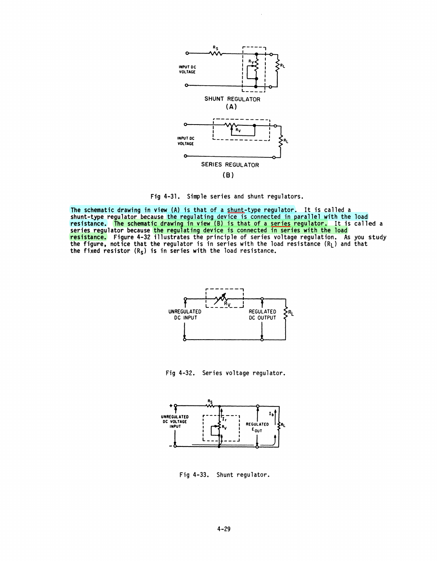

Fig 4-31. Simple series and shunt regulators.

The schematic drawing in view (A) is that of a shunt-type regulator. It is called a shunt-type regulator because the regulating device is connected in parallel with the load resistance. The schematic drawing in view (B) is that of a <u>series</u> regulator. It is called a series regulator because <mark>the regul</mark>ating device is connected in series with the load <mark>resistance.</mark> Figure 4-32 illustrates the principle of series voltage regulation. As you study<br>the figure, notice that the regulator is in series with the load resistance (R<sub>L</sub>) and that the fixed resistor ( $R_S$ ) is in series with the load resistance.



Fig 4-32. Series voltage regulator.



Fig 4-33. Shunt regulator.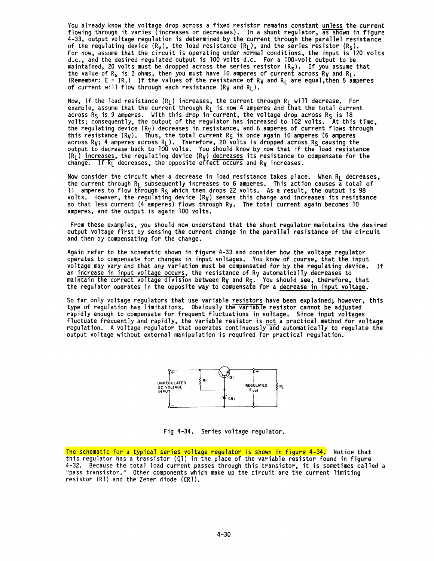You already know the voltage drop across a fixed resistor remains constant unless the current flowing through it varies (increases or decreases). In a shunt regulator, <del>as sho</del>wn in figure<br>4-33, output voltage regulation is determined by the current through the parallel resistance of the regulating device  $(R_V)$ , the load resistance  $(R_L)$ , and the series resistor  $(R_S)$ . For now, assume that the circuit is operating under normal conditions, the input is 120 volts d.c., and the desired regulated output is 100 volts d.c. For a 100-volt output to be maintained, 20 volts must be dropped across the series resistor  $(R<sub>S</sub>)$ . If you assume that the value of  $R_S$  is 2 ohms, then you must have 10 amperes of current across  $R_V$  and  $R_L$ . (Remember: E = IR.) If the values of the resistance of Ry and R<sub>L</sub> are equal, then 5 amperes of current will flow through each resistance (Ry and R<sub>L</sub>).

Now, if the load resistance  $(R_L)$  increases, the current through  $R_L$  will decrease. For example, assume that the current through R $_{\mathsf{L}}$  is now 4 amperes and that the total current across  $R_S$  is 9 amperes. With this drop in current, the voltage drop across  $R_S$  is 18 volts; consequently, the output of the regulator has increased to 102 volts. <sup>"</sup>At this time,<br>the regulating device (R<sub>V</sub>) decreases in resistance, and 6 amperes of current flows through the regulating device (R<sub>V</sub>) decreases in resistance, and 6 amperes of current flows through<br>this resistance (R<sub>V</sub>). Thus, the total current R<sub>S</sub> is once again 10 amperes (6 amperes across Ry; 4 amperes across R<sub>L</sub>). Therefore, 20 volts is dropped across R<sub>S</sub> causing the<br>output to decrease back to 100 volts. You should know by now that if the load resistance  $(R_L^+)$  increases, the regulating device  $(R_V)$  decreases its resistance to compensate for the change. If  $R_1$  decreases, the opposite effect occurs and  $R_V$  increases.

Now consider the circuit when a decrease in load resistance takes place. When  $R_L$  decreases, the current through  $R_L$  subsequently increases to 6 amperes. This action causes a total of 11 amperes to flow through  $R_S$  which then drops 22 volts. As a result, the output is 98 volts. However, the regulating device  $(R_V)$  senses this change and increases its resistance so that less current (4 amperes) flows through  $R_V$ . The total current again becomes 10 amperes, and the output is again 100 volts.

From these examples, you should now understand that the shunt regulator maintains the desired output voltage first by sensing the current change in the parallel resistance of the circuit and then by compensating for the change.

Again refer to the schematic shown in figure 4-33 and consider how the voltage regulator<br>operates to compensate for changes in input voltages. You know of course, that the input voltage may vary and that any variation must be compensated for by the regulating device. If an increase in input voltage occurs, the resistance of  $R_V$  automatically decreases to maintain the correct voltage division between Ry and Rs. You should see, therefore, that the regulator operates in the opposite way to compensate for a decrease in input voltage.

So far only voltage regulators that use variable resistors have been explained; however, this<br>type of regulation has limitations. Obviously the variable resistor cannot be adjusted rapidly enough to compensate for frequent fluctuations in voltage. Since input voltages<br>fluctuate frequently and rapidly, the variable resistor is not a practical method for voltage<br>regulation. A voltage regulator that ope output voltage without external manipulation is required for practical regulation.



Fig 4-34. Series voltage regulator.

The schematic for a typical series voltage regulator is shown in figure 4-34. Notice that this regulator has a transistor (Ql) in the place of the variable resistor found in figure 4-32. Because the total load current passes through this transistor, it is sometimes called a "pass transistor." Other components which make up the circuit are the current limiting resistor (Rl) and the Zener diode (CR1).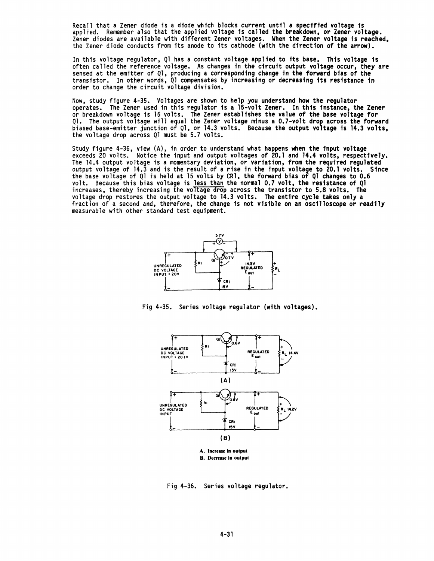Recall that a Zener diode is a diode which blocks current until a specified voltage is<br>applied. Remember also that the applied voltage is called the breakdown, or Zener voltage. Zener diodes are available with different Zener voltages. When the Zener voltage is reached, the Zener diode conducts from its anode to its cathode (with the direction of the arrow).

In this voltage regulator, Ql has a constant voltage applied to its base. This voltage is often called the reference voltage. As changes in the circuit output voltage occur, they are sensed at the emitter of Ql, producing a corresponding change in the forward bias of the transistor. In other words, Ql compensates by increasing or decreasing its resistance in order to change the circuit voltage division.

Now, study figure 4-35. Voltages are shown to help you understand how the regulator operates. The Zener used in this regulator is a 15-volt Zener. In this instance. the Zener or breakdown voltage is 15 volts. The Zener establishes the value of the base voltage for Ql. The output voltage will equal the Zener voltage minus a 0.7-volt drop across the forward biased base-emitter junction of Ql, or 14.3 volts. Because the output voltage is 14.3 volts, the voltage drop across.Ql must be 5.7 volts.

Study figure 4-36, view (A), in order to understand what happens when the input voltage<br>exceeds 20 volts. Notice the input and output voltages of 20.1 and 14.4 volts, respectively.<br>The 14.4 output voltage is a momentary de output voltage of 14.3 and is the result of a rise in the input voltage to 20.1 volts. Since the base voltage of Ql is held at 15 volts by CR1, the forward bias of Ql changes to 0.6 volt. Because this bias voltage is <u>less than</u> the normal 0.7 volt, the resistance of Ql<br>increases, thereby increasing the voltage drop across the transistor to 5.8 volts. The increases, thereby increasing the voltage drop across the transistor to 5.8 volts. The voltage drop restores the output voltage to 14.3 volts. The entire cycle takes only a fraction of a second and, therefore, the change is not visible on an oscilloscope or readily measurable with other standard test equipment.







Fig 4-36. Series voltage regulator.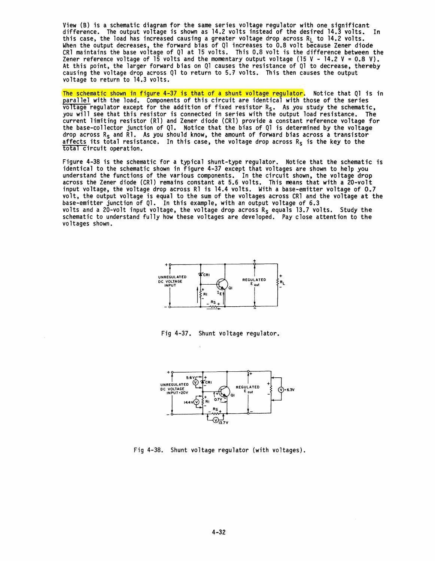View (B) is a schematic diagram for the same series voltage regulator with one significant<br>difference. The output voltage is shown as 14.2 volts instead of the desired 14.3 volts. In this case, the load has increased causing a greater voltage drop across  $R_L$  to 14.2 volts. When the output decreases, the forward bias of Ql increases to 0.8 volt because Zener diode CRl maintains the base voltage of Ql at 15 volts. This 0.8 volt is the difference between the Zener reference voltage of l5 volts and the momentary output voltage (15 V - 14.2 V = 0.8 V).<br>At this point, the larger forward bias on Ql causes the resistance of Ql to decrease, thereby causing the voltage drop across Ql to return to 5.7 volts. This then causes the output voltage to return to 14.3 volts.

The schematic shown in figure 4-37 is that of a shunt voltage regulator. Notice that Ql is in parallel with the load. Components of this circuit are identical with those of the series voltage regulator except for the addition of fixed resistor  $R_S$ . As you study the schematic, you will see that this resistor is connected in series with the output load resistance. The current limiting resistor (Rl) and Zener diode (CR1) provide a constant reference voltage for the base-collector junction of Ql. Notice that the bias of Ql is determined by the voltage drop across  $R_S$  and Rl. As you should know, the amount of forward bias across a transistor affects its total resistance. In this case, the voltage drop across  $R_s$  is the key to the total circuit operation.

Figure 4-38 is the schematic for a typical shunt-type regulator. Notice that the schematic is identical to the schematic shown in figure 4-37 except that voltages are shown to help you<br>understand the functions of the various components. In the circuit shown, the voltage drop across the Zener diode (CR1) remains constant at 5.6 volts. This means that with a 20-volt input voltage, the voltage drop across Rl is 14.4 volts. With a base-emitter voltage of 0.7 volt, the output voltage is equal to the sum of the voltages across CRl and the voltage at the base-emitter junction of Ql. In this example, with an output voltage of 6.3 volts and a 20-volt input voltage, the voltage drop across  $R_S$  equals 13.7 volts. Study the schematic to understand fully how these voltages are developed. Pay close attention to the voltages shown.



Fig 4-37. Shunt voltage regulator.



Fig 4-38. Shunt voltage regulator (with voltages).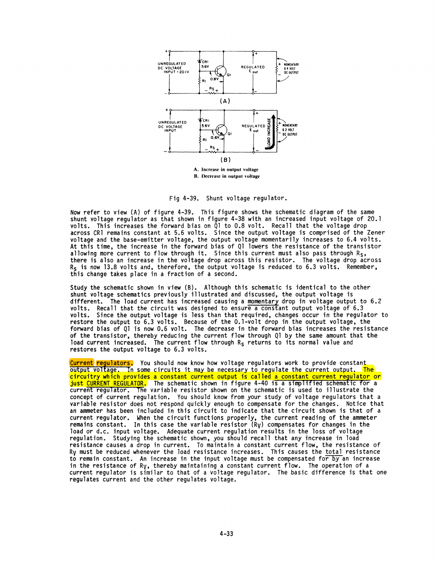

Fig 4-39. Shunt voltage regulator.

Now refer to view (Al of figure 4-39. This figure shows the schematic diagram of the same shunt voltage regulator as that shown in figure 4-38 with an increased input voltage of 20.1 volts. This increases the forward bias on 01 to 0.8 volt. Recall that the voltage drop across CRl remains constant at 5.6 volts. Since the output voltage is comprised of the Zener voltage and the base-emitter voltage, the output voltage momentarily increases to 6.4 volts. At this time, the increase in the forward bias of 01 lowers the resistance of the transistor allowing more current to flow through it. Since this current must also pass through  $R_5$ , there is also an increase in the voltage drop across this resistor. The voltage drop across  $R<sub>S</sub>$  is now 13.8 volts and, therefore, the output voltage is reduced to 6.3 volts. Remember, this change takes place in a fraction of a second.

Study the schematic shown in view (B). Although this schematic is identical to the other shunt voltage schematics previously illustrated and discussed, the output voltage is different. The load current has increased causing a momentary drop in voltage output to 6.2 volts. Recall that the circuit was designed to ensure a constant output voltage of 6.3 volts. Since the output voltage is less than that required, changes occur in the regulator to restore the output to 6.3 volts. Because of the O.l-volt drop in the output voltage, the forward bias of 01 is now 0.6 volt. The decrease in the forward bias increases the resistance of the transistor, thereby reducing the current flow through Ql by the same amount that the load current increased. The current flow through  $R<sub>s</sub>$  returns to its normal value and restores the output voltage to 6.3 volts.

<mark>Current</mark> <mark>regulators.</mark> You should now know how voltage regulators work to provide constant<br>output voltage. In some circuits it may be necessary to regulate the current output. <mark>The</mark> circuitry which provides a constant current output is called a constant current refulator or just CURRENT REGULATOR. The schematic shown in figure 4-40 is a simplified schematic for a current regulator. The variable resistor shown on the schematic is used to illustrate the concept of current regulation. You should know from your study of voltage regulators that a variable resistor *does* not respond quickly enough to compensate for the changes. Notice that an ammeter has been included in this circuit to indicate that the circuit shown is that of a current regulator. When the circuit functions properly, the current reading of the ammeter remains constant. In this case the variable resistor  $(R_V)$  compensates for changes in the load or d.c. input voltage. Adequate current regulation results in the loss of voltage<br>regulation. Studying the schematic shown, you should recall that any increase in load resistance causes a drop in current. To maintain a constant current flow, the resistance of Ry must be reduced whenever the load resistance increases. This causes the total resistance to remain constant. An increase in the input voltage must be compensated for by an increase in the resistance of Ry, thereby maintaining a constant current flow. The operation of a current regulator is similar to that of a voltage regulator. The basic difference is that one regulates current and the other regulates voltage.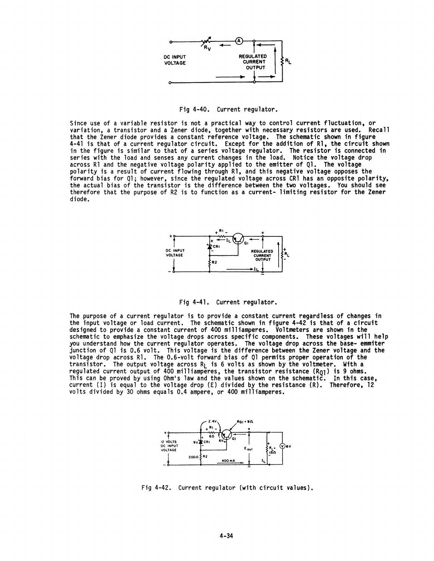

Fig 4-40. Current regulator.

Since use of a variable resistor is not a practical way to control current fluctuation, or variation, a transistor and a Zener diode, together with necessary resistors are used. Recall that the Zener diode provides a constant reference voltage. The schematic shown in figure<br>4-41 is that of a current regulator circuit. Except for the addition of R1, the circuit shown in the figure is similar to that of a series voltage regulator. The resistor is connected in series with the load and senses any current changes in the load. Notice the voltage drop across R1 and the negative voltage polarity applied to the emitter of Q1. The voltage polarity is a result of current flowing through R1, and this negative voltage opposes the forward bias for Q1; however, since the regulated voltage across CR1 has an opposite polarity, the actual bias of the transistor is the difference between the two voltages. You should see therefore that the purpose of R2 is to function as a current- limiting resistor for the Zener diode.



Fig 4-41. Current regulator.

The purpose of a current regulator is to provide a constant current regardless of changes in the input voltage or load current. The schematic shown in figure 4-42 is that of a circuit designed to provide a constant current of 400 milliamperes. Voltmeters are shown in the schematic to emphasize the voltage drops across specific components. These voltages will help you understand how the current regulator operates. The voltage drop across the base- emmiter junction of Q1 is 0.6 volt. This voltage is the difference between the Zener voltage and the voltage drop across R1. The 0.6-volt forward bias of Q1 permits proper operation of the transistor. The output voltage across  $R_L$  is 6 volts as shown by the voltmeter. With a regulated current output of 400 milliamperes, the transistor resistance  $(R_{Q1})$  is 9 ohms. This can be proved by using Ohm's law and the values shown on the schematic. In this case, current (I) is equal to the voltage drop (E) divided by the resistance (R). Therefore, 12 volts divided by 30 ohms equals 0.4 ampere, or 400 milliamperes.



Fig 4-42. Current regulator (with circuit values).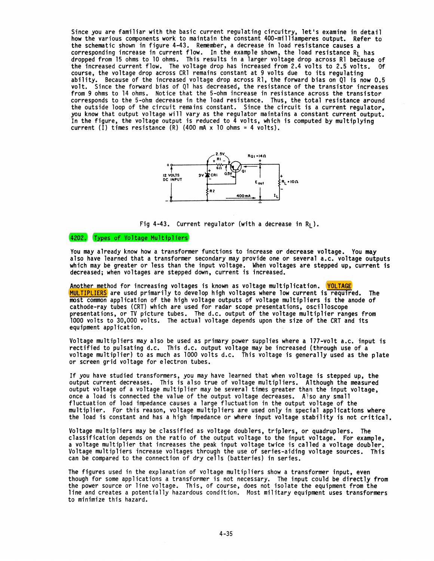Since you are familiar with the basic current regulating circuitry, let's examine in detail how the various components work to maintain the constant 400-milliamperes output. Refer to the schematic shown in figure 4-43. Remember, a decrease in load resistance causes a corresponding increase in current flow. In the example shown, the load resistance  $R_1$  has dropped from 15 ohms to 10 ohms. This results in a larger voltage drop across Rl because of the increased current flow. The voltage drop has increased from 2.4 volts to 2.5 volts. Of course, the voltage drop across CRI remains constant at 9 volts due to its regulating ability. Because of the increased voltage drop across Rl, the forward bias on  $Q1$  is now 0.5 volt. Since the forward bias of Ql has decreased, the resistance of the transistor increases from 9 ohms to 14 ohms. Notice that the 5-ohm increase in resistance across the transistor corresponds to the 5-ohm decrease in the load resistance. Thus, the total resistance around the outside loop of the circuit remains constant. Since the circuit is a current regulator,<br>you know that output voltage will vary as the regulator maintains a constant current output. In the figure, the voltage output is reduced to  $\bar{4}$  volts, which is computed by multiplying current (I) times resistance  $(R)$  (400 mA x 10 ohms = 4 volts).



Fig 4-43. Current regulator (with a decrease in  $R_1$ ).

## 4202. Types of Voltage Multipliers

You may already know how a transformer functions to increase or decrease voltage. You may<br>also have learned that a transformer secondary may provide one or several a.c. voltage outputs<br>which may be greater or less than the decreased; when voltages are stepped down, current is increased.

Another method for increasing voltages is known as voltage multiplication. VOLTAGE MULTIPLIERS are used primarily to develop high voltages where low current is required. The most common application of the high voltage outputs of voltage multipliers is the anode of cathode-ray tubes (CRT) which are used for radar scope presentations, oscilloscope presentations, or TV picture tubes. The d.c. output of the voltage multiplier ranges from 1000 volts to 30,000 volts. The actual voltage depends upon the size of the CRT and its equipment application.

Voltage multipliers may also be used as primary power supplies where a 177-volt a.c. input is rectified to pulsating d.c. This d.c. output voltage may be increased (through use of a voltage multiplier) to as much as 1000 volts d.c. This voltage is generally used as the plate or screen grid voltage for electron tubes.

If you have studied transformers, you may have learned that when voltage is stepped up, the output current decreases. This is also true of voltage multipliers. Although the measured output voltage of a voltage multiplier may be several times greater than the input voltage, once a load is connected the value of the output voltage decreases. Also any small fluctuation of load impedance causes a large fluctuation in the output voltage of the multiplier. For this reason, voltage multipliers are used only in special applications where the load is constant and has a high impedance or where input voltage stability is not critical.

Voltage multipliers may be classified as· voltage doublers, triplers, or quadruplers. The classification depends on the ratio of the output voltage to the input voltage. For example, a voltage multiplier that increases the peak input voltage twice is called a voltage doubler. Voltage multipliers increase voltages through the use of series-aiding voltage sources. This can be compared to the connection of dry cells (batteries) in series.

The figures used in the explanation of voltage multipliers show a transformer input, even though for some applications a transformer is not necessary. The input could be directly from the power source or line voltage. This, of course, does not isolate the equipment from the line and creates a potentially hazardous condition. Most military equipment uses transformers to minimize this hazard.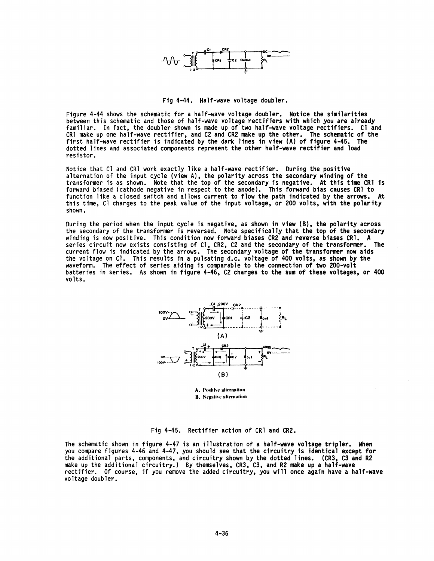

Fig 4-44. Half-wave voltage doubler.

Figure 4-44 shows the schematic for a half-wave voltage doubler. Notice the similarities<br>between this schematic and those of half-wave voltage rectifiers with which you are already familiar. In fact, the doubler shown is made up of two half-wave voltage rectifiers. Cl and CRl make up one half-wave rectifier, and C2 and CR2 make up the other. The schematic of the first half-wave rectifier is indicated by the dark lines in view (A) of figure 4-45. The dotted lines and associated components represent the other half-wave rectifier and load resistor.

Notice that Cl and CRl work exactly like a half<mark>-wave rectifier. During the positive</mark><br>alternation of the input cycle (view A), the polarity across the <mark>secondary winding of the</mark> transformer is as shown. Note that the top of the secondary is negative. At this time CRl is forward biased (cathode negative in respect to the anode). This forward bias causes CRl to function like a closed switch and allows current to flow the path indicated by the arrows. At this time, Cl charges to the peak value of the input voltage, or 200 volts, with the polarity shown •

During the period when the input cycle is negative, as shown in view (B), the polarity across the secondary of the transformer is reversed. Note specifically that the top of the secondary winding is now positive. This condition now forward biases CR2 and reverse biases CR1. A series circuit now exists consisting of series circuit now exists consisting of Cl, CR2, C2 and the secondary of the transformer. current flow is indicated by the arrows. The secondary voltage of the transformer now aids the voltage on Cl. This results in a pulsating d.c. voltage of 400 volts, as shown by the waveform. The effect of series aiding is comparable to the connection of two 200-volt batteries in series. As shown in figure 4-46, C2 charges to the sum of these voltages, or 400 volts.



A. Positive alternation **B.** Negative alternation

Fig 4-45. Rectifier action of CRl and CR2.

The schematic shown in figure 4-47 is an illustration of a half-wave voltage tripler. When you compare figures 4-46 and 4-47. you should see that the circuitry is identical except for the additional parts, components, and circuitry shown by the dotted lines. (CR3, C3 and R2 make up the additional circuitry.) By themselves, CR3, C3, and R2 make up a half-wave rectifier. Of course, if you remove the added circuitry, you will once again have a half-wave voltage doubler.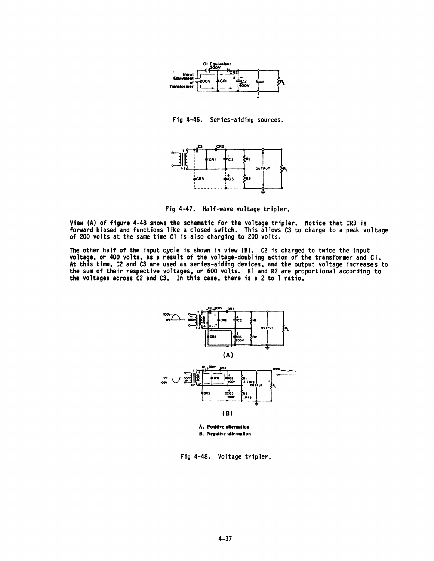

Fig 4-46. Series-aiding sources.



Fig 4-47. Half-wave voltage tripler.

View (A) of figure 4-48 shows the schematic for the voltage tripler. Notice that CR3 is forward biased and functions like a closed switch. This allows C3 to charge to a peak voltage<br>of 200 volts at the same time Cl is also charging to 200 volts.

The other half of the input cycle is shown in view (B). C2 is charged to twice the input voltage, or 400 volts, as a result of the voltage-doubling action of the transformer and Cl. At this time, C2 and C3 are used as series-aiding devices, and the output voltage increases to the sum of their respective voltages, or 600 volts. Rl and R2 are proportional according to the voltages across C2 and C3. In this case, there is a 2 to 1 ratio.



**B.** Negative alternation

Fig 4-48. Voltage tripler.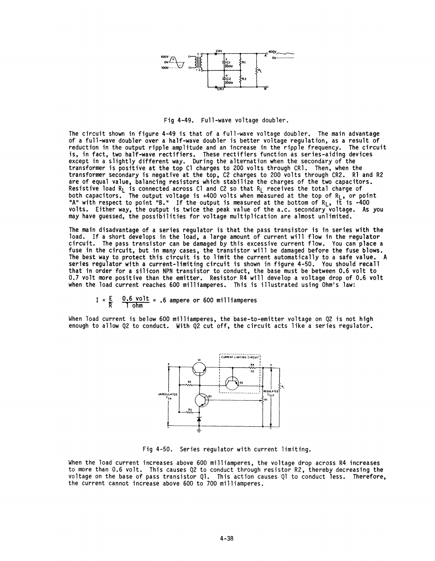

Fig 4-49. Full-wave voltage doubler.

The circuit shown in figure 4-49 is that of a full-wave voltage doubler. The main advantage of a full-wave doubler over a half-wave doubler is better voltage regulation, as a result of reduction in the output ripple amplitude and an increase in the ripple frequency. The circuit is, in fact, two half-wave rectifiers. These rectifiers function as series-aiding devices except in a slightly different way. During the alternation when the secondary of the transformer is positive at the top Cl charges to 200 volts through CR1. Then, when the transformer secondary is negative at the top, C2 charges to 200 volts through CR2. Rl and R2 are of equal value, balancing resistors which stabilize the charges of the two capacitors. Resistive load R<sub>L</sub> is connected across Cl and C2 so that R<sub>L</sub> receives the total charge of both capacitors. The output voltage is +400 volts when measured at the top of R<sub>L</sub>, or point "A" with respect to point "B." If the output is measured at the bottom of R<sub>L</sub>, it is -400 volts. Either way. the output is twice the peak value of the a.c. secondary voltage. As you may have guessed, the possibilities for voltage multiplication are almost unlimited.

The main disadvantage of a series regulator is that the pass transistor is in series with the load. If a short develops in the load, a large amount of current will flow in the regulator circuit. The pass transistor can be damaged by this excessive current flow. You can place a fuse in the circuit. but in many cases, the transistor will be damaged before the fuse blows. The best way to protect this circuit is to limit the current automatically to a safe value. A series regulator with a current-limiting circuit is shown in figure 4-50. You should recall that in order for a silicon NPN transistor to conduct. the base must be between 0.6 volt to 0.7 volt more positive than the emitter. Resistor R4 will develop a voltage drop of 0.6 volt when the load current reaches 600 milliamperes. This is illustrated using Ohm's law:

$$
I = \frac{E}{R} \qquad \frac{0.6 \text{ volt}}{1 \text{ ohm}} = .6 \text{ ampere or } 600 \text{ milliamperes}
$$

When load current is below 600 milliamperes, the base-to-emitter voltage on Q2 is not high enough to allow Q2 to conduct. With Q2 cut off, the circuit acts like a series regulator.



Fig 4-50. Series regulator with current limiting.

When the load current increases above 600 milliamperes, the voltage drop across R4 increases to more than 0.6 volt. This causes Q2 to conduct through resistor R2, thereby decreasing the voltage on the base of pass transistor Ql. This action causes Ql to conduct less. Therefore, the current cannot increase above 600 to 700 milliamperes.